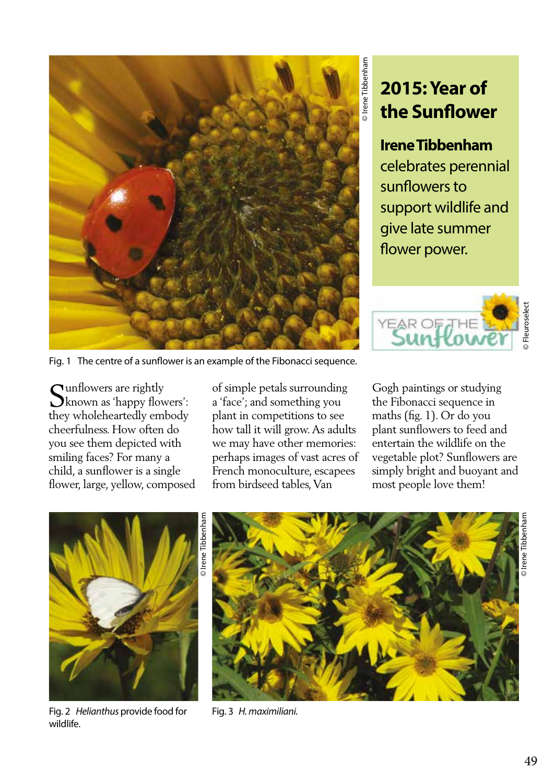

**2015: Year of the Sunflower**

## **Irene Tibbenham**

celebrates perennial sunflowers to support wildlife and give late summer flower power.



Fig. 1 The centre of a sunflower is an example of the Fibonacci sequence.

**Cunflowers** are rightly known as 'happy flowers': they wholeheartedly embody cheerfulness. How often do you see them depicted with smiling faces? For many a child, a sunflower is a single flower, large, yellow, composed of simple petals surrounding a 'face'; and something you plant in competitions to see how tall it will grow. As adults we may have other memories: perhaps images of vast acres of French monoculture, escapees from birdseed tables, Van

Gogh paintings or studying the Fibonacci sequence in maths (fig. 1). Or do you plant sunflowers to feed and entertain the wildlife on the vegetable plot? Sunflowers are simply bright and buoyant and most people love them!



Fig. 2 *Helianthus* provide food for wildlife.



Fig. 3 *H. maximiliani.*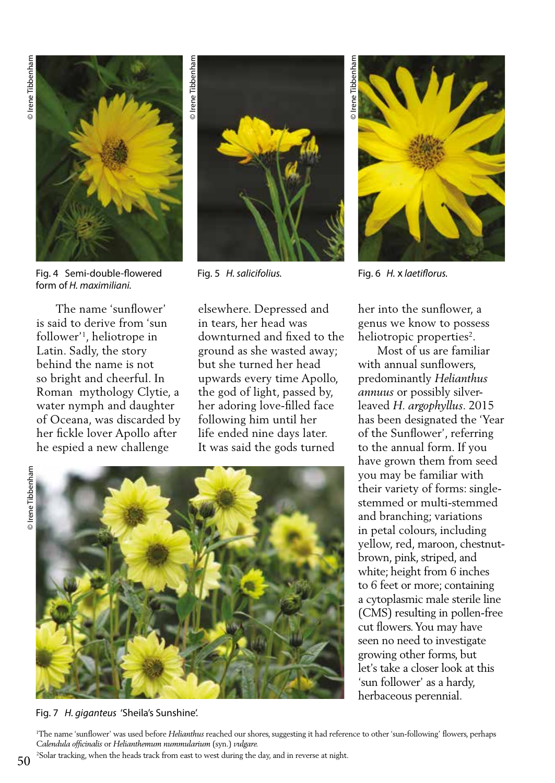

Fig. 4 Semi-double-flowered form of *H. maximiliani.*

 The name 'sunflower' is said to derive from 'sun follower'1 , heliotrope in Latin. Sadly, the story behind the name is not so bright and cheerful. In Roman mythology Clytie, a water nymph and daughter of Oceana, was discarded by her fickle lover Apollo after he espied a new challenge



elsewhere. Depressed and in tears, her head was downturned and fixed to the ground as she wasted away; but she turned her head upwards every time Apollo, the god of light, passed by, her adoring love-filled face following him until her life ended nine days later. It was said the gods turned



Fig. 7 *H. giganteus* 'Sheila's Sunshine'.



Fig. 5 *H. salicifolius.* Fig. 6 *H.* x *laetiflorus.* 

her into the sunflower, a genus we know to possess heliotropic properties<sup>2</sup>.

 Most of us are familiar with annual sunflowers, predominantly *Helianthus annuus* or possibly silverleaved *H. argophyllus*. 2015 has been designated the 'Year of the Sunflower', referring to the annual form. If you have grown them from seed you may be familiar with their variety of forms: singlestemmed or multi-stemmed and branching; variations in petal colours, including yellow, red, maroon, chestnutbrown, pink, striped, and white; height from 6 inches to 6 feet or more; containing a cytoplasmic male sterile line (CMS) resulting in pollen-free cut flowers. You may have seen no need to investigate growing other forms, but let's take a closer look at this 'sun follower' as a hardy, herbaceous perennial.

1 The name 'sunflower' was used before *Helianthus* reached our shores, suggesting it had reference to other 'sun-following' flowers, perhaps *Calendula officinalis* or *Helianthemum nummularium* (syn.) *vulgare.*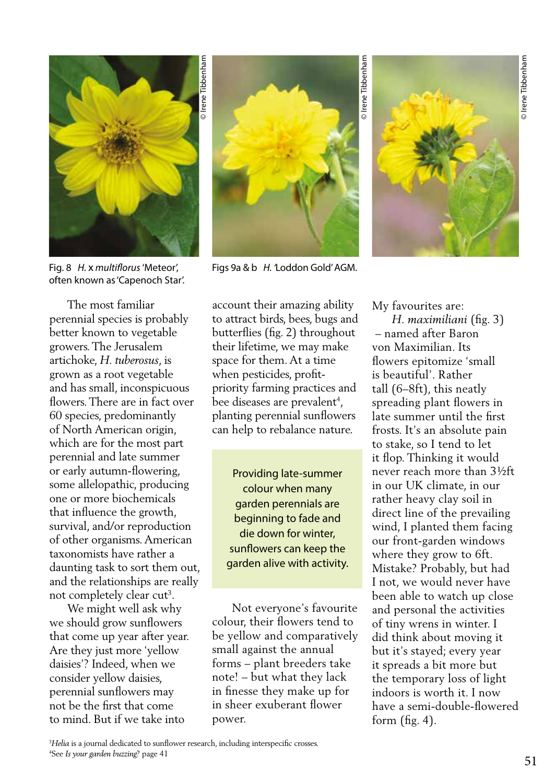

Fig. 8 *H.* x *multiflorus* 'Meteor', often known as 'Capenoch Star'.

 The most familiar perennial species is probably better known to vegetable growers. The Jerusalem artichoke, *H. tuberosus*, is grown as a root vegetable and has small, inconspicuous flowers. There are in fact over 60 species, predominantly of North American origin, which are for the most part perennial and late summer or early autumn-flowering, some allelopathic, producing one or more biochemicals that influence the growth, survival, and/or reproduction of other organisms. American taxonomists have rather a daunting task to sort them out, and the relationships are really not completely clear cut<sup>3</sup>.

 We might well ask why we should grow sunflowers that come up year after year. Are they just more 'yellow daisies'? Indeed, when we consider yellow daisies, perennial sunflowers may not be the first that come to mind. But if we take into



© Irene Tibbenham

Figs 9a & b *H. '*Loddon Gold' AGM.

account their amazing ability to attract birds, bees, bugs and butterflies (fig. 2) throughout their lifetime, we may make space for them. At a time when pesticides, profitpriority farming practices and bee diseases are prevalent<sup>4</sup>, planting perennial sunflowers can help to rebalance nature.

Providing late-summer colour when many garden perennials are beginning to fade and die down for winter, sunflowers can keep the garden alive with activity.

 Not everyone's favourite colour, their flowers tend to be yellow and comparatively small against the annual forms – plant breeders take note! – but what they lack in finesse they make up for in sheer exuberant flower power.



My favourites are:

 *H. maximiliani* (fig. 3) – named after Baron von Maximilian. Its flowers epitomize 'small is beautiful'. Rather tall (6–8ft), this neatly spreading plant flowers in late summer until the first frosts. It's an absolute pain to stake, so I tend to let it flop. Thinking it would never reach more than 3½ft in our UK climate, in our rather heavy clay soil in direct line of the prevailing wind, I planted them facing our front-garden windows where they grow to 6ft. Mistake? Probably, but had I not, we would never have been able to watch up close and personal the activities of tiny wrens in winter. I did think about moving it but it's stayed; every year it spreads a bit more but the temporary loss of light indoors is worth it. I now have a semi-double-flowered form  $(fig. 4)$ .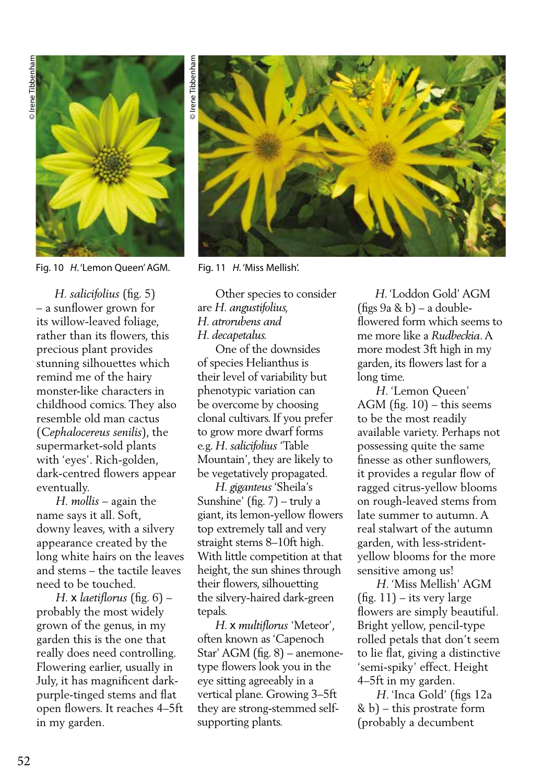

Fig. 10 *H*. 'Lemon Queen' AGM. Fig. 11 *H*. 'Miss Mellish'.

 *H. salicifolius* (fig. 5) – a sunflower grown for its willow-leaved foliage, rather than its flowers, this precious plant provides stunning silhouettes which remind me of the hairy monster-like characters in childhood comics. They also resemble old man cactus (*Cephalocereus senilis*), the supermarket-sold plants with 'eyes'. Rich-golden, dark-centred flowers appear eventually.

 *H. mollis* – again the name says it all. Soft, downy leaves, with a silvery appearance created by the long white hairs on the leaves and stems – the tactile leaves need to be touched.

 *H.* x *laetiflorus* (fig. 6) – probably the most widely grown of the genus, in my garden this is the one that really does need controlling. Flowering earlier, usually in July, it has magnificent darkpurple-tinged stems and flat open flowers. It reaches 4–5ft in my garden.



 Other species to consider are *H. angustifolius, H. atrorubens and H. decapetalus.* 

 One of the downsides of species Helianthus is their level of variability but phenotypic variation can be overcome by choosing clonal cultivars. If you prefer to grow more dwarf forms e.g. *H. salicifolius* 'Table Mountain', they are likely to be vegetatively propagated.

 *H. giganteus* 'Sheila's Sunshine' (fig. 7) – truly a giant, its lemon-yellow flowers top extremely tall and very straight stems 8–10ft high. With little competition at that height, the sun shines through their flowers, silhouetting the silvery-haired dark-green tepals.

 *H.* x *multiflorus* 'Meteor', often known as 'Capenoch Star' AGM (fig. 8) – anemonetype flowers look you in the eye sitting agreeably in a vertical plane. Growing 3–5ft they are strong-stemmed selfsupporting plants.

 *H*. 'Loddon Gold' AGM (figs 9a & b) – a doubleflowered form which seems to me more like a *Rudbeckia*. A more modest 3ft high in my garden, its flowers last for a long time.

 *H*. 'Lemon Queen' AGM (fig.  $10$ ) – this seems to be the most readily available variety. Perhaps not possessing quite the same finesse as other sunflowers, it provides a regular flow of ragged citrus-yellow blooms on rough-leaved stems from late summer to autumn. A real stalwart of the autumn garden, with less-stridentyellow blooms for the more sensitive among us!

 *H*. 'Miss Mellish' AGM  $(fig. 11) - its very large$ flowers are simply beautiful. Bright yellow, pencil-type rolled petals that don't seem to lie flat, giving a distinctive 'semi-spiky' effect. Height 4–5ft in my garden.

 *H*. 'Inca Gold' (figs 12a & b) – this prostrate form (probably a decumbent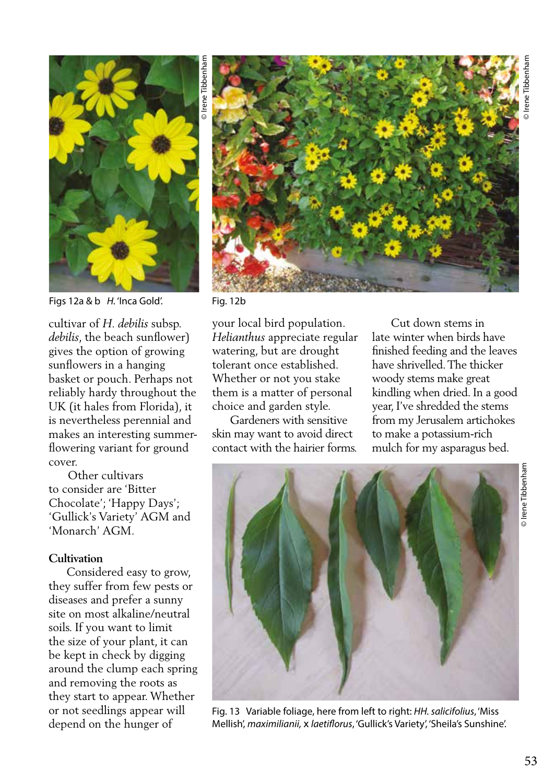

Figs 12a & b *H.* 'Inca Gold'. Fig. 12b

cultivar of *H. debilis* subsp. *debilis*, the beach sunflower) gives the option of growing sunflowers in a hanging basket or pouch. Perhaps not reliably hardy throughout the UK (it hales from Florida), it is nevertheless perennial and makes an interesting summerflowering variant for ground cover.

 Other cultivars to consider are 'Bitter Chocolate'; 'Happy Days'; 'Gullick's Variety' AGM and 'Monarch' AGM.

## **Cultivation**

 Considered easy to grow, they suffer from few pests or diseases and prefer a sunny site on most alkaline/neutral soils. If you want to limit the size of your plant, it can be kept in check by digging around the clump each spring and removing the roots as they start to appear. Whether or not seedlings appear will depend on the hunger of



your local bird population. *Helianthus* appreciate regular watering, but are drought tolerant once established. Whether or not you stake them is a matter of personal choice and garden style.

 Gardeners with sensitive skin may want to avoid direct contact with the hairier forms.

 Cut down stems in late winter when birds have finished feeding and the leaves have shrivelled. The thicker woody stems make great kindling when dried. In a good year, I've shredded the stems from my Jerusalem artichokes to make a potassium-rich mulch for my asparagus bed.



Fig. 13 Variable foliage, here from left to right: *HH. salicifolius*, 'Miss Mellish', *maximilianii,* x *laetiflorus*, 'Gullick's Variety', 'Sheila's Sunshine'.